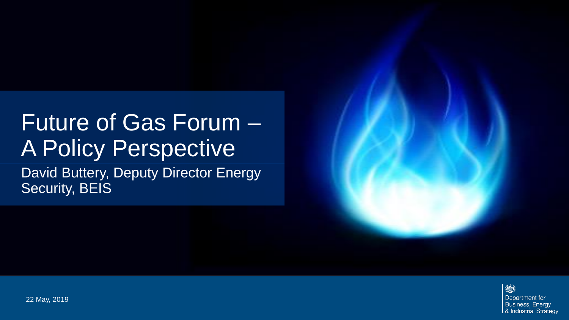#### Future of Gas Forum – A Policy Perspective David Buttery, Deputy Director Energy Security, BEIS



22 May, 2019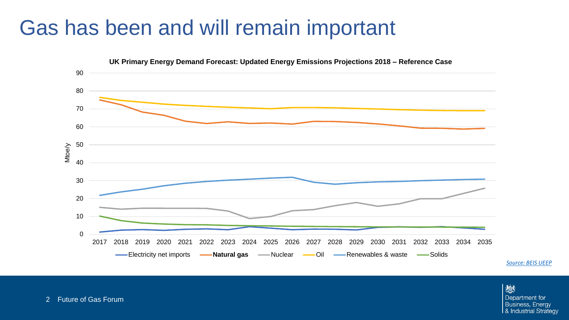### Gas has been and will remain important



戀 Department for **Business, Energy** & Industrial Strategy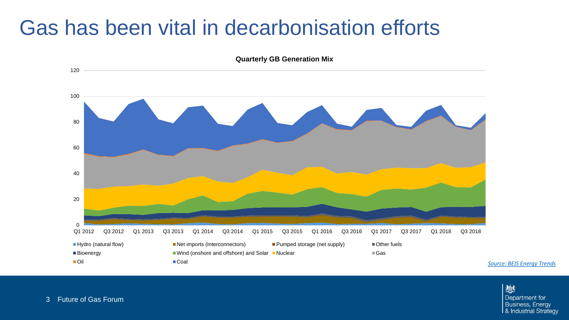## Gas has been vital in decarbonisation efforts



戀 Department for Business, Energy & Industrial Strategy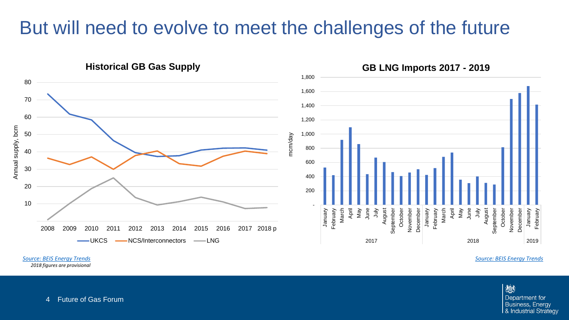#### But will need to evolve to meet the challenges of the future



*[Source: BEIS Energy Trends](https://www.gov.uk/government/statistics/gas-section-4-energy-trends) 2018 figures are provisional* *[Source: BEIS Energy Trends](https://www.gov.uk/government/statistics/gas-section-4-energy-trends)*

爆 Department for **Business, Energy** & Industrial Strategy

4 Future of Gas Forum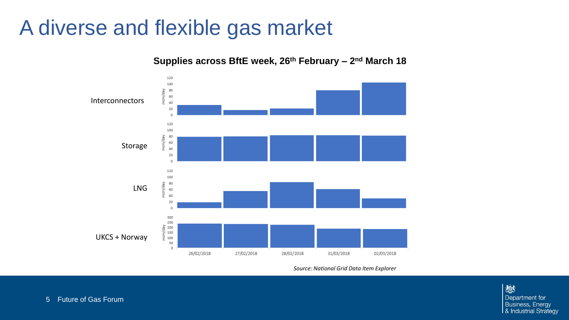## A diverse and flexible gas market

120 100 m/day 80 60 Interconnectors 40 20  $\alpha$ 120 100 m/day 80 60 Storage 40 20  $\circ$ 120 100  $m$ /day 80 LNG 60 40 20  $\circ$ 300 250  $\begin{array}{c}\n 200 \\
0 \\
150 \\
100\n\end{array}$ UKCS + Norway50  $\circ$ 26/02/2018 27/02/2018 28/02/2018 01/03/2018 02/03/2018

**Supplies across BftE week, 26th February – 2 nd March 18**

*Source: National Grid Data Item Explorer*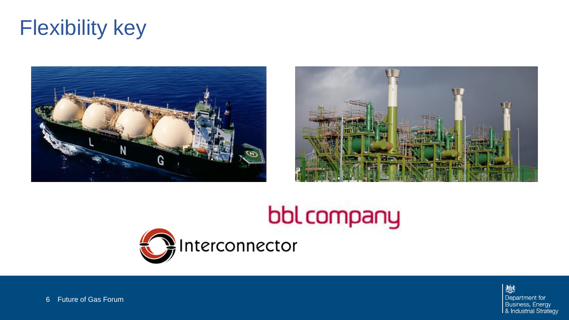# Flexibility key







戀 Department for Business, Energy & Industrial Strategy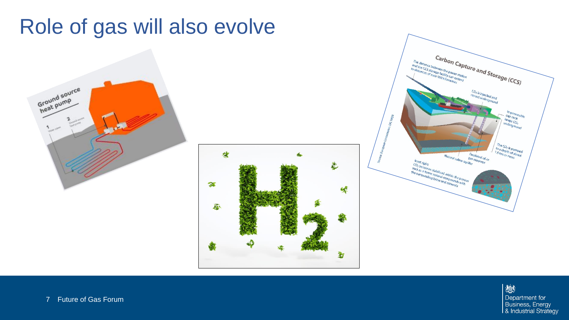#### 戀 Department for Business, Energy<br>& Industrial Strategy



# Role of gas will also evolve



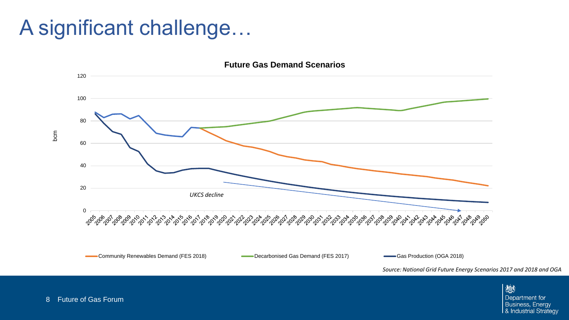## A significant challenge…



*Source: National Grid Future Energy Scenarios 2017 and 2018 and OGA*

爆

Department for Business, Energy & Industrial Strategy

8 Future of Gas Forum

bcm